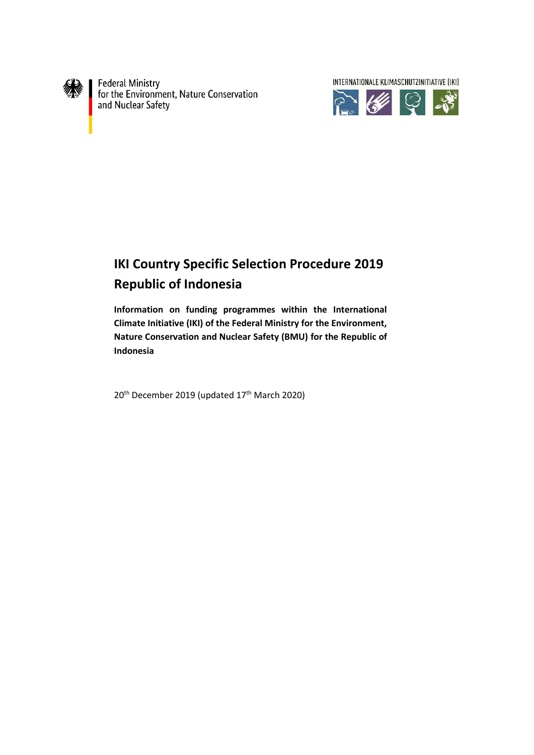

Federal Ministry<br>for the Environment, Nature Conservation<br>and Nuclear Safety

INTERNATIONALE KLIMASCHUTZINITIATIVE (IKI) 高华早餐

# **IKI Country Specific Selection Procedure 2019 Republic of Indonesia**

**Information on funding programmes within the International Climate Initiative (IKI) of the Federal Ministry for the Environment, Nature Conservation and Nuclear Safety (BMU) for the Republic of Indonesia**

20<sup>th</sup> December 2019 (updated 17<sup>th</sup> March 2020)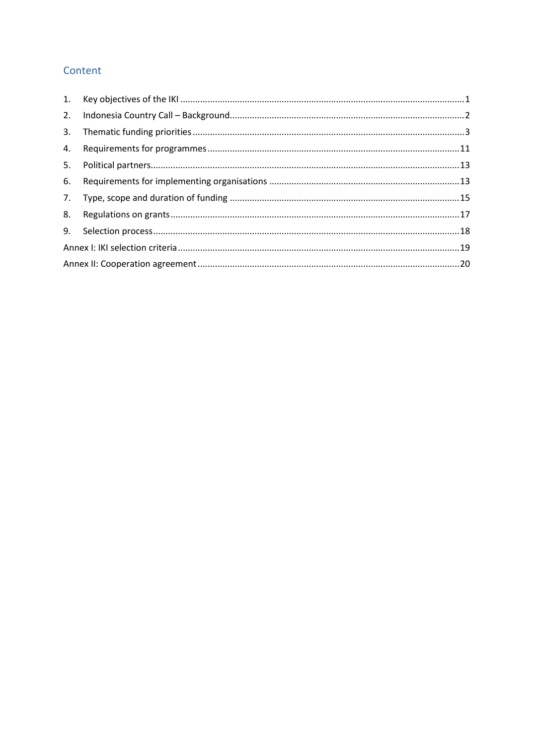## Content

| 2. |  |  |
|----|--|--|
| 3. |  |  |
| 4. |  |  |
| 5. |  |  |
| 6. |  |  |
|    |  |  |
| 8. |  |  |
|    |  |  |
|    |  |  |
|    |  |  |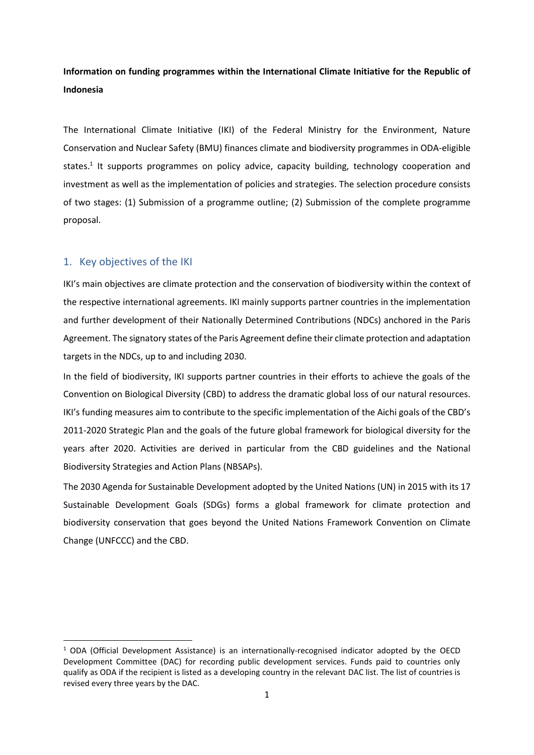## **Information on funding programmes within the International Climate Initiative for the Republic of Indonesia**

The International Climate Initiative (IKI) of the Federal Ministry for the Environment, Nature Conservation and Nuclear Safety (BMU) finances climate and biodiversity programmes in ODA-eligible states.<sup>1</sup> It supports programmes on policy advice, capacity building, technology cooperation and investment as well as the implementation of policies and strategies. The selection procedure consists of two stages: (1) Submission of a programme outline; (2) Submission of the complete programme proposal.

## <span id="page-2-0"></span>1. Key objectives of the IKI

 $\overline{a}$ 

IKI's main objectives are climate protection and the conservation of biodiversity within the context of the respective international agreements. IKI mainly supports partner countries in the implementation and further development of their Nationally Determined Contributions (NDCs) anchored in the Paris Agreement. The signatory states of the Paris Agreement define their climate protection and adaptation targets in the NDCs, up to and including 2030.

In the field of biodiversity, IKI supports partner countries in their efforts to achieve the goals of the Convention on Biological Diversity (CBD) to address the dramatic global loss of our natural resources. IKI's funding measures aim to contribute to the specific implementation of the Aichi goals of the CBD's 2011-2020 Strategic Plan and the goals of the future global framework for biological diversity for the years after 2020. Activities are derived in particular from the CBD guidelines and the National Biodiversity Strategies and Action Plans (NBSAPs).

The 2030 Agenda for Sustainable Development adopted by the United Nations (UN) in 2015 with its 17 Sustainable Development Goals (SDGs) forms a global framework for climate protection and biodiversity conservation that goes beyond the United Nations Framework Convention on Climate Change (UNFCCC) and the CBD.

 $1$  ODA (Official Development Assistance) is an internationally-recognised indicator adopted by the OECD Development Committee (DAC) for recording public development services. Funds paid to countries only qualify as ODA if the recipient is listed as a developing country in the relevant DAC list. The list of countries is revised every three years by the DAC.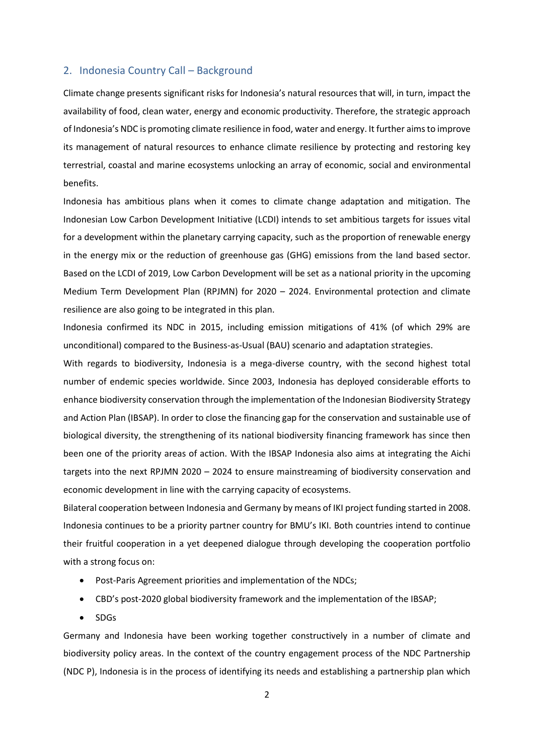## <span id="page-3-0"></span>2. Indonesia Country Call – Background

Climate change presents significant risks for Indonesia's natural resources that will, in turn, impact the availability of food, clean water, energy and economic productivity. Therefore, the strategic approach of Indonesia's NDC is promoting climate resilience in food, water and energy. It further aims to improve its management of natural resources to enhance climate resilience by protecting and restoring key terrestrial, coastal and marine ecosystems unlocking an array of economic, social and environmental benefits.

Indonesia has ambitious plans when it comes to climate change adaptation and mitigation. The Indonesian Low Carbon Development Initiative (LCDI) intends to set ambitious targets for issues vital for a development within the planetary carrying capacity, such as the proportion of renewable energy in the energy mix or the reduction of greenhouse gas (GHG) emissions from the land based sector. Based on the LCDI of 2019, Low Carbon Development will be set as a national priority in the upcoming Medium Term Development Plan (RPJMN) for 2020 – 2024. Environmental protection and climate resilience are also going to be integrated in this plan.

Indonesia confirmed its NDC in 2015, including emission mitigations of 41% (of which 29% are unconditional) compared to the Business-as-Usual (BAU) scenario and adaptation strategies.

With regards to biodiversity, Indonesia is a mega-diverse country, with the second highest total number of endemic species worldwide. Since 2003, Indonesia has deployed considerable efforts to enhance biodiversity conservation through the implementation of the Indonesian Biodiversity Strategy and Action Plan (IBSAP). In order to close the financing gap for the conservation and sustainable use of biological diversity, the strengthening of its national biodiversity financing framework has since then been one of the priority areas of action. With the IBSAP Indonesia also aims at integrating the Aichi targets into the next RPJMN 2020 – 2024 to ensure mainstreaming of biodiversity conservation and economic development in line with the carrying capacity of ecosystems.

Bilateral cooperation between Indonesia and Germany by means of IKI project funding started in 2008. Indonesia continues to be a priority partner country for BMU's IKI. Both countries intend to continue their fruitful cooperation in a yet deepened dialogue through developing the cooperation portfolio with a strong focus on:

- Post-Paris Agreement priorities and implementation of the NDCs;
- CBD's post-2020 global biodiversity framework and the implementation of the IBSAP;
- SDGs

Germany and Indonesia have been working together constructively in a number of climate and biodiversity policy areas. In the context of the country engagement process of the NDC Partnership (NDC P), Indonesia is in the process of identifying its needs and establishing a partnership plan which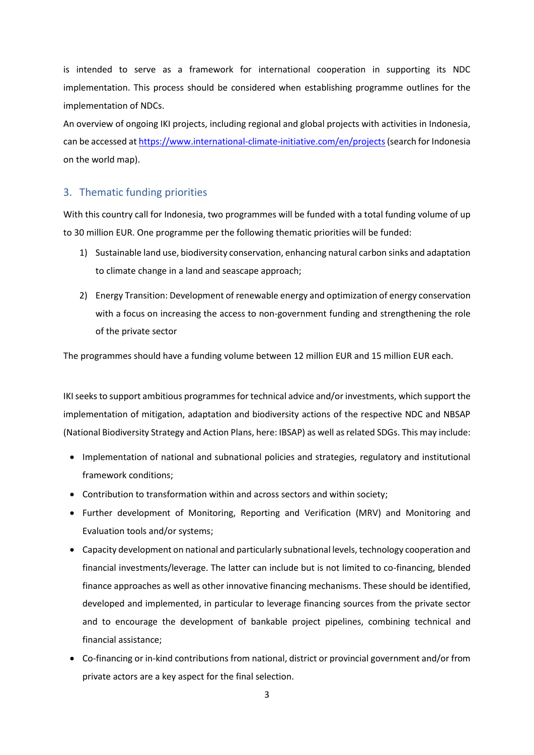is intended to serve as a framework for international cooperation in supporting its NDC implementation. This process should be considered when establishing programme outlines for the implementation of NDCs.

An overview of ongoing IKI projects, including regional and global projects with activities in Indonesia, can be accessed at [https://www.international-climate-initiative.com/en/projects\(](https://www.international-climate-initiative.com/en/projects)search for Indonesia on the world map).

## <span id="page-4-0"></span>3. Thematic funding priorities

With this country call for Indonesia, two programmes will be funded with a total funding volume of up to 30 million EUR. One programme per the following thematic priorities will be funded:

- 1) Sustainable land use, biodiversity conservation, enhancing natural carbon sinks and adaptation to climate change in a land and seascape approach;
- 2) Energy Transition: Development of renewable energy and optimization of energy conservation with a focus on increasing the access to non-government funding and strengthening the role of the private sector

The programmes should have a funding volume between 12 million EUR and 15 million EUR each.

IKI seeks to support ambitious programmes for technical advice and/or investments, which support the implementation of mitigation, adaptation and biodiversity actions of the respective NDC and NBSAP (National Biodiversity Strategy and Action Plans, here: IBSAP) as well as related SDGs. This may include:

- Implementation of national and subnational policies and strategies, regulatory and institutional framework conditions;
- Contribution to transformation within and across sectors and within society;
- Further development of Monitoring, Reporting and Verification (MRV) and Monitoring and Evaluation tools and/or systems;
- Capacity development on national and particularly subnational levels, technology cooperation and financial investments/leverage. The latter can include but is not limited to co-financing, blended finance approaches as well as other innovative financing mechanisms. These should be identified, developed and implemented, in particular to leverage financing sources from the private sector and to encourage the development of bankable project pipelines, combining technical and financial assistance;
- Co-financing or in-kind contributions from national, district or provincial government and/or from private actors are a key aspect for the final selection.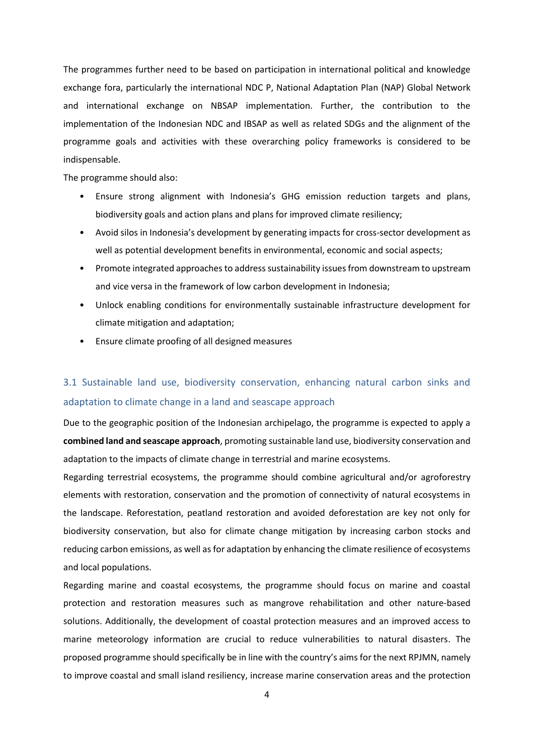The programmes further need to be based on participation in international political and knowledge exchange fora, particularly the international NDC P, National Adaptation Plan (NAP) Global Network and international exchange on NBSAP implementation. Further, the contribution to the implementation of the Indonesian NDC and IBSAP as well as related SDGs and the alignment of the programme goals and activities with these overarching policy frameworks is considered to be indispensable.

The programme should also:

- Ensure strong alignment with Indonesia's GHG emission reduction targets and plans, biodiversity goals and action plans and plans for improved climate resiliency;
- Avoid silos in Indonesia's development by generating impacts for cross-sector development as well as potential development benefits in environmental, economic and social aspects;
- Promote integrated approaches to address sustainability issues from downstream to upstream and vice versa in the framework of low carbon development in Indonesia;
- Unlock enabling conditions for environmentally sustainable infrastructure development for climate mitigation and adaptation;
- Ensure climate proofing of all designed measures

## 3.1 Sustainable land use, biodiversity conservation, enhancing natural carbon sinks and adaptation to climate change in a land and seascape approach

Due to the geographic position of the Indonesian archipelago, the programme is expected to apply a **combined land and seascape approach**, promoting sustainable land use, biodiversity conservation and adaptation to the impacts of climate change in terrestrial and marine ecosystems.

Regarding terrestrial ecosystems, the programme should combine agricultural and/or agroforestry elements with restoration, conservation and the promotion of connectivity of natural ecosystems in the landscape. Reforestation, peatland restoration and avoided deforestation are key not only for biodiversity conservation, but also for climate change mitigation by increasing carbon stocks and reducing carbon emissions, as well as for adaptation by enhancing the climate resilience of ecosystems and local populations.

Regarding marine and coastal ecosystems, the programme should focus on marine and coastal protection and restoration measures such as mangrove rehabilitation and other nature-based solutions. Additionally, the development of coastal protection measures and an improved access to marine meteorology information are crucial to reduce vulnerabilities to natural disasters. The proposed programme should specifically be in line with the country's aims for the next RPJMN, namely to improve coastal and small island resiliency, increase marine conservation areas and the protection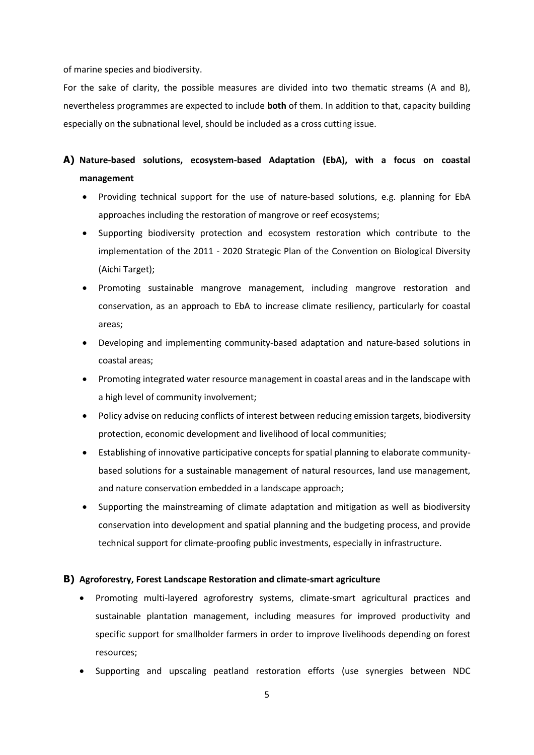of marine species and biodiversity.

For the sake of clarity, the possible measures are divided into two thematic streams (A and B), nevertheless programmes are expected to include **both** of them. In addition to that, capacity building especially on the subnational level, should be included as a cross cutting issue.

## **A) Nature-based solutions, ecosystem-based Adaptation (EbA), with a focus on coastal management**

- Providing technical support for the use of nature-based solutions, e.g. planning for EbA approaches including the restoration of mangrove or reef ecosystems;
- Supporting biodiversity protection and ecosystem restoration which contribute to the implementation of the 2011 - 2020 Strategic Plan of the Convention on Biological Diversity (Aichi Target);
- Promoting sustainable mangrove management, including mangrove restoration and conservation, as an approach to EbA to increase climate resiliency, particularly for coastal areas;
- Developing and implementing community-based adaptation and nature-based solutions in coastal areas;
- Promoting integrated water resource management in coastal areas and in the landscape with a high level of community involvement;
- Policy advise on reducing conflicts of interest between reducing emission targets, biodiversity protection, economic development and livelihood of local communities;
- Establishing of innovative participative concepts for spatial planning to elaborate communitybased solutions for a sustainable management of natural resources, land use management, and nature conservation embedded in a landscape approach;
- Supporting the mainstreaming of climate adaptation and mitigation as well as biodiversity conservation into development and spatial planning and the budgeting process, and provide technical support for climate-proofing public investments, especially in infrastructure.

## **B) Agroforestry, Forest Landscape Restoration and climate-smart agriculture**

- Promoting multi-layered agroforestry systems, climate-smart agricultural practices and sustainable plantation management, including measures for improved productivity and specific support for smallholder farmers in order to improve livelihoods depending on forest resources;
- Supporting and upscaling peatland restoration efforts (use synergies between NDC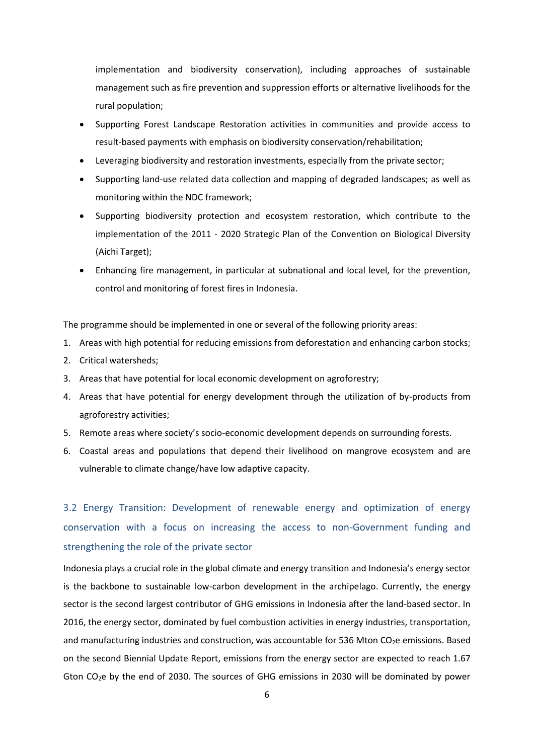implementation and biodiversity conservation), including approaches of sustainable management such as fire prevention and suppression efforts or alternative livelihoods for the rural population;

- Supporting Forest Landscape Restoration activities in communities and provide access to result-based payments with emphasis on biodiversity conservation/rehabilitation;
- Leveraging biodiversity and restoration investments, especially from the private sector;
- Supporting land-use related data collection and mapping of degraded landscapes; as well as monitoring within the NDC framework;
- Supporting biodiversity protection and ecosystem restoration, which contribute to the implementation of the 2011 - 2020 Strategic Plan of the Convention on Biological Diversity (Aichi Target);
- Enhancing fire management, in particular at subnational and local level, for the prevention, control and monitoring of forest fires in Indonesia.

The programme should be implemented in one or several of the following priority areas:

- 1. Areas with high potential for reducing emissions from deforestation and enhancing carbon stocks;
- 2. Critical watersheds;
- 3. Areas that have potential for local economic development on agroforestry;
- 4. Areas that have potential for energy development through the utilization of by-products from agroforestry activities;
- 5. Remote areas where society's socio-economic development depends on surrounding forests.
- 6. Coastal areas and populations that depend their livelihood on mangrove ecosystem and are vulnerable to climate change/have low adaptive capacity.

3.2 Energy Transition: Development of renewable energy and optimization of energy conservation with a focus on increasing the access to non-Government funding and strengthening the role of the private sector

Indonesia plays a crucial role in the global climate and energy transition and Indonesia's energy sector is the backbone to sustainable low-carbon development in the archipelago. Currently, the energy sector is the second largest contributor of GHG emissions in Indonesia after the land-based sector. In 2016, the energy sector, dominated by fuel combustion activities in energy industries, transportation, and manufacturing industries and construction, was accountable for 536 Mton  $CO<sub>2</sub>e$  emissions. Based on the second Biennial Update Report, emissions from the energy sector are expected to reach 1.67 Gton  $CO<sub>2</sub>e$  by the end of 2030. The sources of GHG emissions in 2030 will be dominated by power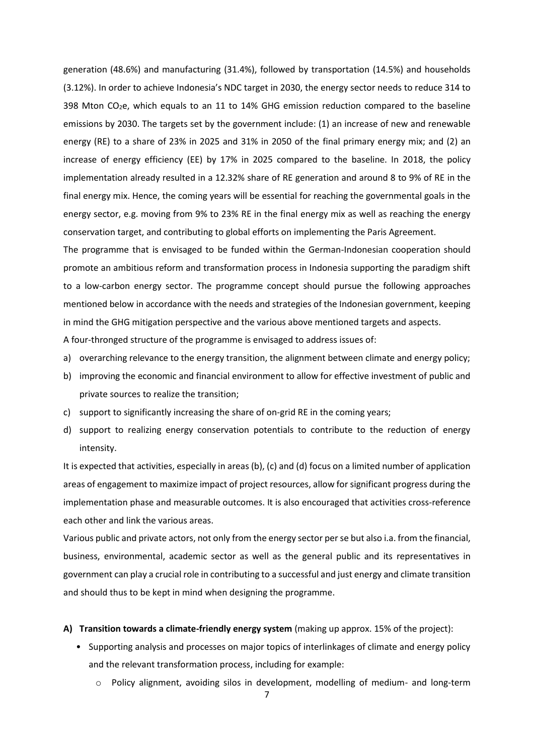generation (48.6%) and manufacturing (31.4%), followed by transportation (14.5%) and households (3.12%). In order to achieve Indonesia's NDC target in 2030, the energy sector needs to reduce 314 to 398 Mton  $CO<sub>2</sub>e$ , which equals to an 11 to 14% GHG emission reduction compared to the baseline emissions by 2030. The targets set by the government include: (1) an increase of new and renewable energy (RE) to a share of 23% in 2025 and 31% in 2050 of the final primary energy mix; and (2) an increase of energy efficiency (EE) by 17% in 2025 compared to the baseline. In 2018, the policy implementation already resulted in a 12.32% share of RE generation and around 8 to 9% of RE in the final energy mix. Hence, the coming years will be essential for reaching the governmental goals in the energy sector, e.g. moving from 9% to 23% RE in the final energy mix as well as reaching the energy conservation target, and contributing to global efforts on implementing the Paris Agreement.

The programme that is envisaged to be funded within the German-Indonesian cooperation should promote an ambitious reform and transformation process in Indonesia supporting the paradigm shift to a low-carbon energy sector. The programme concept should pursue the following approaches mentioned below in accordance with the needs and strategies of the Indonesian government, keeping in mind the GHG mitigation perspective and the various above mentioned targets and aspects.

A four-thronged structure of the programme is envisaged to address issues of:

- a) overarching relevance to the energy transition, the alignment between climate and energy policy;
- b) improving the economic and financial environment to allow for effective investment of public and private sources to realize the transition;
- c) support to significantly increasing the share of on-grid RE in the coming years;
- d) support to realizing energy conservation potentials to contribute to the reduction of energy intensity.

It is expected that activities, especially in areas (b), (c) and (d) focus on a limited number of application areas of engagement to maximize impact of project resources, allow for significant progress during the implementation phase and measurable outcomes. It is also encouraged that activities cross-reference each other and link the various areas.

Various public and private actors, not only from the energy sector per se but also i.a. from the financial, business, environmental, academic sector as well as the general public and its representatives in government can play a crucial role in contributing to a successful and just energy and climate transition and should thus to be kept in mind when designing the programme.

#### **A) Transition towards a climate-friendly energy system** (making up approx. 15% of the project):

- Supporting analysis and processes on major topics of interlinkages of climate and energy policy and the relevant transformation process, including for example:
	- o Policy alignment, avoiding silos in development, modelling of medium- and long-term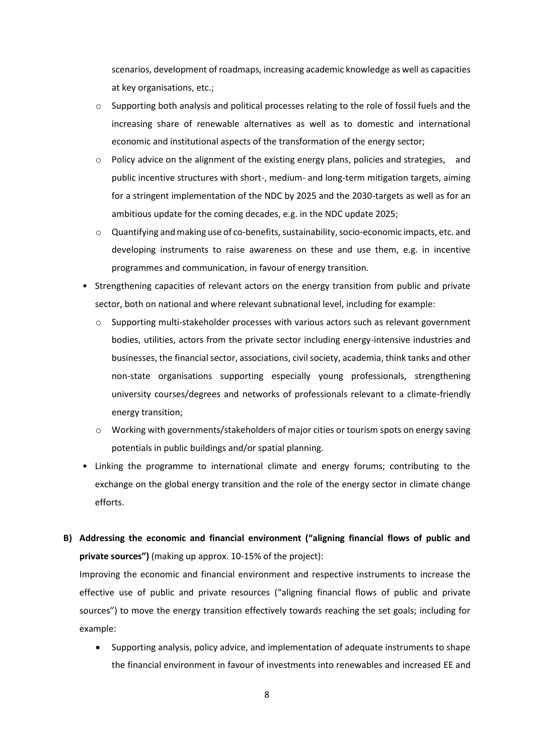scenarios, development of roadmaps, increasing academic knowledge as well as capacities at key organisations, etc.;

- $\circ$  Supporting both analysis and political processes relating to the role of fossil fuels and the increasing share of renewable alternatives as well as to domestic and international economic and institutional aspects of the transformation of the energy sector;
- o Policy advice on the alignment of the existing energy plans, policies and strategies, and public incentive structures with short-, medium- and long-term mitigation targets, aiming for a stringent implementation of the NDC by 2025 and the 2030-targets as well as for an ambitious update for the coming decades, e.g. in the NDC update 2025;
- o Quantifying and making use of co-benefits, sustainability, socio-economic impacts, etc. and developing instruments to raise awareness on these and use them, e.g. in incentive programmes and communication, in favour of energy transition.
- Strengthening capacities of relevant actors on the energy transition from public and private sector, both on national and where relevant subnational level, including for example:
	- o Supporting multi-stakeholder processes with various actors such as relevant government bodies, utilities, actors from the private sector including energy-intensive industries and businesses, the financial sector, associations, civil society, academia, think tanks and other non-state organisations supporting especially young professionals, strengthening university courses/degrees and networks of professionals relevant to a climate-friendly energy transition;
	- o Working with governments/stakeholders of major cities or tourism spots on energy saving potentials in public buildings and/or spatial planning.
- Linking the programme to international climate and energy forums; contributing to the exchange on the global energy transition and the role of the energy sector in climate change efforts.
- **B) Addressing the economic and financial environment ("aligning financial flows of public and private sources")** (making up approx. 10-15% of the project):

Improving the economic and financial environment and respective instruments to increase the effective use of public and private resources ("aligning financial flows of public and private sources") to move the energy transition effectively towards reaching the set goals; including for example:

 Supporting analysis, policy advice, and implementation of adequate instruments to shape the financial environment in favour of investments into renewables and increased EE and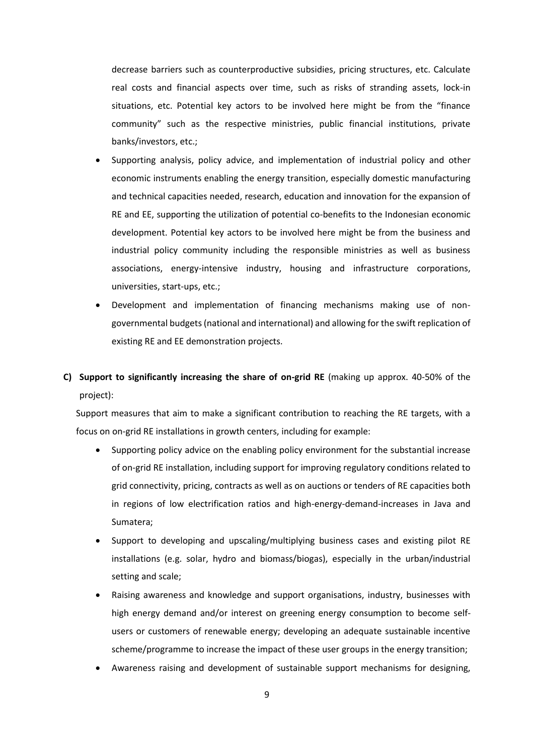decrease barriers such as counterproductive subsidies, pricing structures, etc. Calculate real costs and financial aspects over time, such as risks of stranding assets, lock-in situations, etc. Potential key actors to be involved here might be from the "finance community" such as the respective ministries, public financial institutions, private banks/investors, etc.;

- Supporting analysis, policy advice, and implementation of industrial policy and other economic instruments enabling the energy transition, especially domestic manufacturing and technical capacities needed, research, education and innovation for the expansion of RE and EE, supporting the utilization of potential co-benefits to the Indonesian economic development. Potential key actors to be involved here might be from the business and industrial policy community including the responsible ministries as well as business associations, energy-intensive industry, housing and infrastructure corporations, universities, start-ups, etc.;
- Development and implementation of financing mechanisms making use of nongovernmental budgets (national and international) and allowing for the swift replication of existing RE and EE demonstration projects.
- **C) Support to significantly increasing the share of on-grid RE** (making up approx. 40-50% of the project):

Support measures that aim to make a significant contribution to reaching the RE targets, with a focus on on-grid RE installations in growth centers, including for example:

- Supporting policy advice on the enabling policy environment for the substantial increase of on-grid RE installation, including support for improving regulatory conditions related to grid connectivity, pricing, contracts as well as on auctions or tenders of RE capacities both in regions of low electrification ratios and high-energy-demand-increases in Java and Sumatera;
- Support to developing and upscaling/multiplying business cases and existing pilot RE installations (e.g. solar, hydro and biomass/biogas), especially in the urban/industrial setting and scale;
- Raising awareness and knowledge and support organisations, industry, businesses with high energy demand and/or interest on greening energy consumption to become selfusers or customers of renewable energy; developing an adequate sustainable incentive scheme/programme to increase the impact of these user groups in the energy transition;
- Awareness raising and development of sustainable support mechanisms for designing,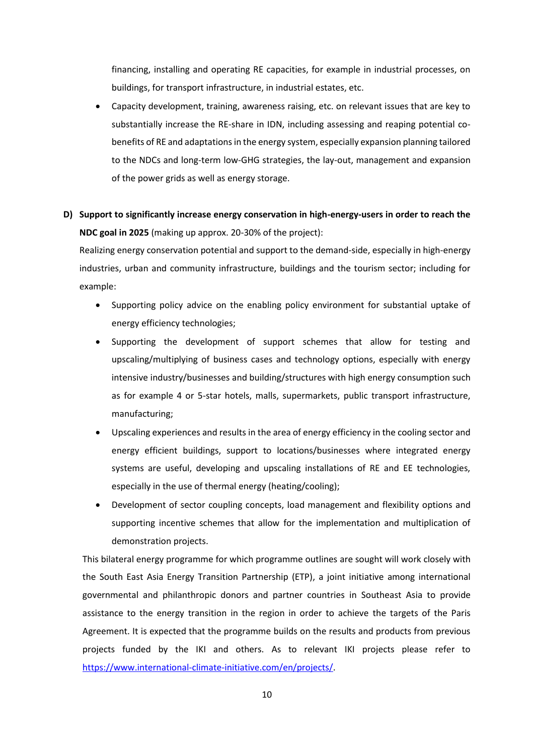financing, installing and operating RE capacities, for example in industrial processes, on buildings, for transport infrastructure, in industrial estates, etc.

 Capacity development, training, awareness raising, etc. on relevant issues that are key to substantially increase the RE-share in IDN, including assessing and reaping potential cobenefits of RE and adaptations in the energy system, especially expansion planning tailored to the NDCs and long-term low-GHG strategies, the lay-out, management and expansion of the power grids as well as energy storage.

## **D) Support to significantly increase energy conservation in high-energy-users in order to reach the NDC goal in 2025** (making up approx. 20-30% of the project):

Realizing energy conservation potential and support to the demand-side, especially in high-energy industries, urban and community infrastructure, buildings and the tourism sector; including for example:

- Supporting policy advice on the enabling policy environment for substantial uptake of energy efficiency technologies;
- Supporting the development of support schemes that allow for testing and upscaling/multiplying of business cases and technology options, especially with energy intensive industry/businesses and building/structures with high energy consumption such as for example 4 or 5-star hotels, malls, supermarkets, public transport infrastructure, manufacturing;
- Upscaling experiences and results in the area of energy efficiency in the cooling sector and energy efficient buildings, support to locations/businesses where integrated energy systems are useful, developing and upscaling installations of RE and EE technologies, especially in the use of thermal energy (heating/cooling);
- Development of sector coupling concepts, load management and flexibility options and supporting incentive schemes that allow for the implementation and multiplication of demonstration projects.

This bilateral energy programme for which programme outlines are sought will work closely with the South East Asia Energy Transition Partnership (ETP), a joint initiative among international governmental and philanthropic donors and partner countries in Southeast Asia to provide assistance to the energy transition in the region in order to achieve the targets of the Paris Agreement. It is expected that the programme builds on the results and products from previous projects funded by the IKI and others. As to relevant IKI projects please refer to [https://www.international-climate-initiative.com/en/projects/.](https://www.international-climate-initiative.com/en/projects/)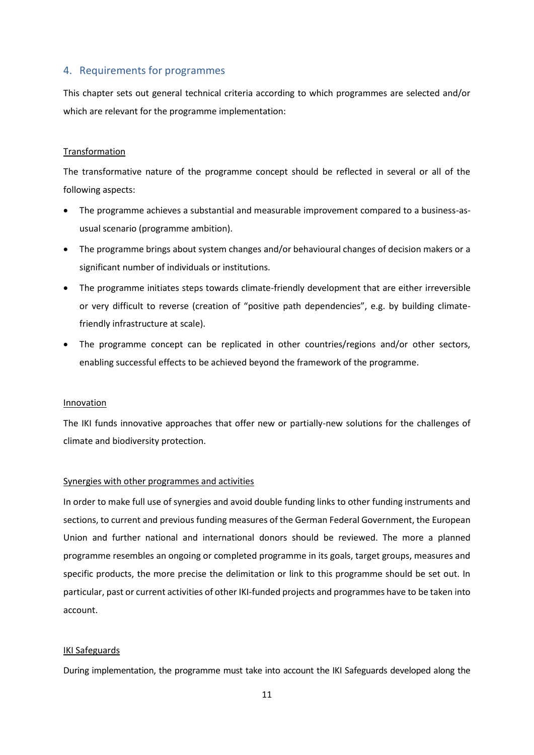## <span id="page-12-0"></span>4. Requirements for programmes

This chapter sets out general technical criteria according to which programmes are selected and/or which are relevant for the programme implementation:

#### Transformation

The transformative nature of the programme concept should be reflected in several or all of the following aspects:

- The programme achieves a substantial and measurable improvement compared to a business-asusual scenario (programme ambition).
- The programme brings about system changes and/or behavioural changes of decision makers or a significant number of individuals or institutions.
- The programme initiates steps towards climate-friendly development that are either irreversible or very difficult to reverse (creation of "positive path dependencies", e.g. by building climatefriendly infrastructure at scale).
- The programme concept can be replicated in other countries/regions and/or other sectors, enabling successful effects to be achieved beyond the framework of the programme.

#### Innovation

The IKI funds innovative approaches that offer new or partially-new solutions for the challenges of climate and biodiversity protection.

#### Synergies with other programmes and activities

In order to make full use of synergies and avoid double funding links to other funding instruments and sections, to current and previous funding measures of the German Federal Government, the European Union and further national and international donors should be reviewed. The more a planned programme resembles an ongoing or completed programme in its goals, target groups, measures and specific products, the more precise the delimitation or link to this programme should be set out. In particular, past or current activities of other IKI-funded projects and programmes have to be taken into account.

#### IKI Safeguards

During implementation, the programme must take into account the IKI Safeguards developed along the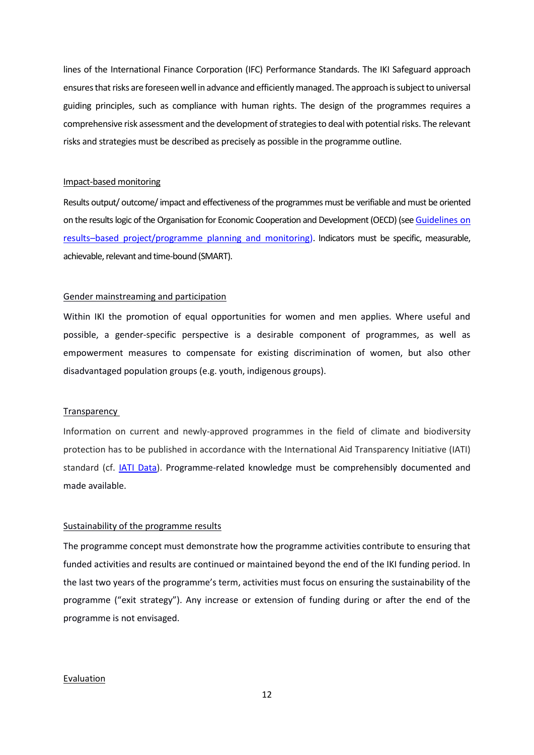lines of the International Finance Corporation (IFC) Performance Standards. The IKI Safeguard approach ensures that risks are foreseen well in advance and efficiently managed. The approach is subject to universal guiding principles, such as compliance with human rights. The design of the programmes requires a comprehensive risk assessment and the development of strategies to deal with potential risks. The relevant risks and strategies must be described as precisely as possible in the programme outline.

#### Impact-based monitoring

Results output/ outcome/ impact and effectiveness of the programmes must be verifiable and must be oriented on the results logic of the Organisation for Economic Cooperation and Development (OECD) (se[e Guidelines on](https://www.international-climate-initiative.com/fileadmin/Dokumente/2019/20190503_Guidelines_on_project_and_programme_planning.pdf)  results–[based project/programme planning and monitoring\)](https://www.international-climate-initiative.com/fileadmin/Dokumente/2019/20190503_Guidelines_on_project_and_programme_planning.pdf). Indicators must be specific, measurable, achievable, relevant and time-bound (SMART).

#### Gender mainstreaming and participation

Within IKI the promotion of equal opportunities for women and men applies. Where useful and possible, a gender-specific perspective is a desirable component of programmes, as well as empowerment measures to compensate for existing discrimination of women, but also other disadvantaged population groups (e.g. youth, indigenous groups).

#### **Transparency**

Information on current and newly-approved programmes in the field of climate and biodiversity protection has to be published in accordance with the International Aid Transparency Initiative (IATI) standard (cf. [IATI Data\)](https://www.international-climate-initiative.com/en/about-the-iki/transparenz/?iki_lang=en). Programme-related knowledge must be comprehensibly documented and made available.

#### Sustainability of the programme results

The programme concept must demonstrate how the programme activities contribute to ensuring that funded activities and results are continued or maintained beyond the end of the IKI funding period. In the last two years of the programme's term, activities must focus on ensuring the sustainability of the programme ("exit strategy"). Any increase or extension of funding during or after the end of the programme is not envisaged.

#### Evaluation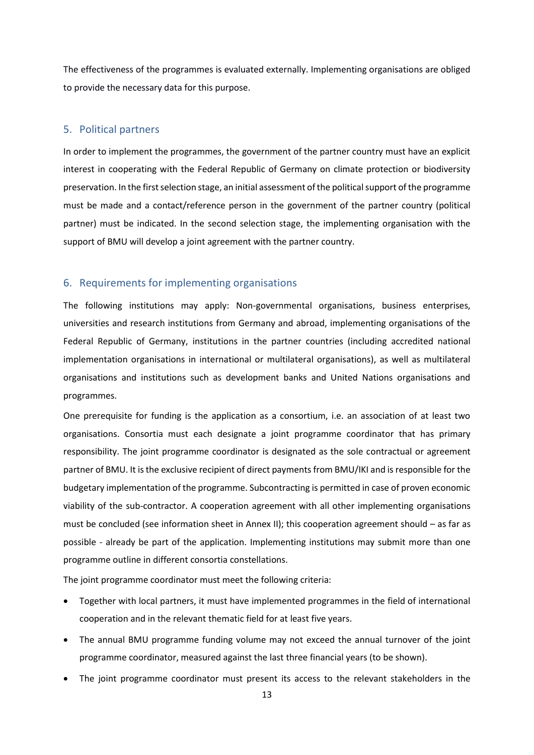The effectiveness of the programmes is evaluated externally. Implementing organisations are obliged to provide the necessary data for this purpose.

### <span id="page-14-0"></span>5. Political partners

In order to implement the programmes, the government of the partner country must have an explicit interest in cooperating with the Federal Republic of Germany on climate protection or biodiversity preservation. In the first selection stage, an initial assessment of the political support of the programme must be made and a contact/reference person in the government of the partner country (political partner) must be indicated. In the second selection stage, the implementing organisation with the support of BMU will develop a joint agreement with the partner country.

## <span id="page-14-1"></span>6. Requirements for implementing organisations

The following institutions may apply: Non-governmental organisations, business enterprises, universities and research institutions from Germany and abroad, implementing organisations of the Federal Republic of Germany, institutions in the partner countries (including accredited national implementation organisations in international or multilateral organisations), as well as multilateral organisations and institutions such as development banks and United Nations organisations and programmes.

One prerequisite for funding is the application as a consortium, i.e. an association of at least two organisations. Consortia must each designate a joint programme coordinator that has primary responsibility. The joint programme coordinator is designated as the sole contractual or agreement partner of BMU. It is the exclusive recipient of direct payments from BMU/IKI and is responsible for the budgetary implementation of the programme. Subcontracting is permitted in case of proven economic viability of the sub-contractor. A cooperation agreement with all other implementing organisations must be concluded (see information sheet in Annex II); this cooperation agreement should – as far as possible - already be part of the application. Implementing institutions may submit more than one programme outline in different consortia constellations.

The joint programme coordinator must meet the following criteria:

- Together with local partners, it must have implemented programmes in the field of international cooperation and in the relevant thematic field for at least five years.
- The annual BMU programme funding volume may not exceed the annual turnover of the joint programme coordinator, measured against the last three financial years (to be shown).
- The joint programme coordinator must present its access to the relevant stakeholders in the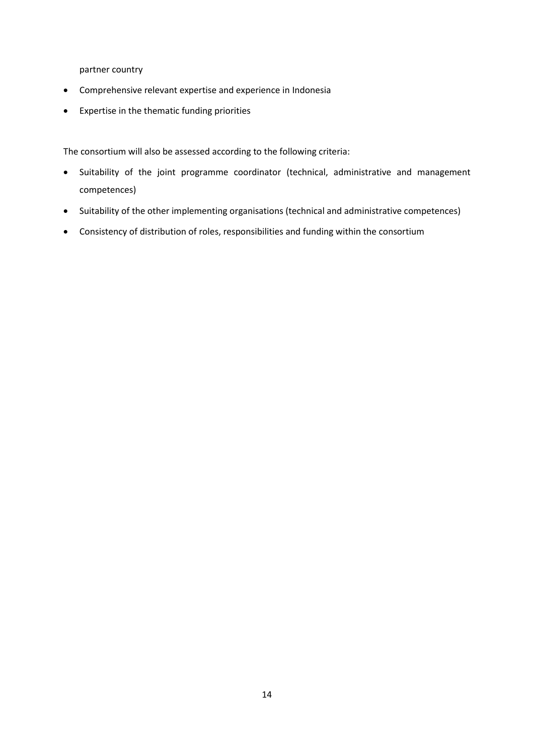partner country

- Comprehensive relevant expertise and experience in Indonesia
- Expertise in the thematic funding priorities

The consortium will also be assessed according to the following criteria:

- Suitability of the joint programme coordinator (technical, administrative and management competences)
- Suitability of the other implementing organisations (technical and administrative competences)
- Consistency of distribution of roles, responsibilities and funding within the consortium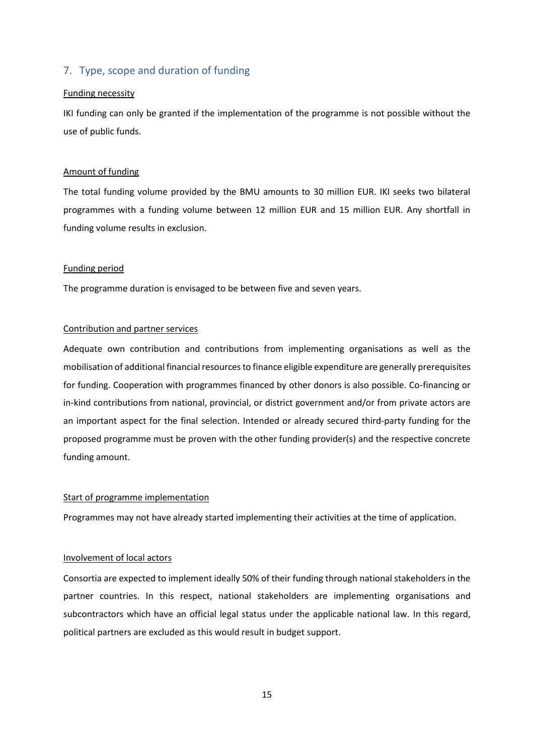## <span id="page-16-0"></span>7. Type, scope and duration of funding

#### Funding necessity

IKI funding can only be granted if the implementation of the programme is not possible without the use of public funds.

### Amount of funding

The total funding volume provided by the BMU amounts to 30 million EUR. IKI seeks two bilateral programmes with a funding volume between 12 million EUR and 15 million EUR. Any shortfall in funding volume results in exclusion.

#### Funding period

The programme duration is envisaged to be between five and seven years.

### Contribution and partner services

Adequate own contribution and contributions from implementing organisations as well as the mobilisation of additional financial resources to finance eligible expenditure are generally prerequisites for funding. Cooperation with programmes financed by other donors is also possible. Co-financing or in-kind contributions from national, provincial, or district government and/or from private actors are an important aspect for the final selection. Intended or already secured third-party funding for the proposed programme must be proven with the other funding provider(s) and the respective concrete funding amount.

#### Start of programme implementation

Programmes may not have already started implementing their activities at the time of application.

#### Involvement of local actors

Consortia are expected to implement ideally 50% of their funding through national stakeholders in the partner countries. In this respect, national stakeholders are implementing organisations and subcontractors which have an official legal status under the applicable national law. In this regard, political partners are excluded as this would result in budget support.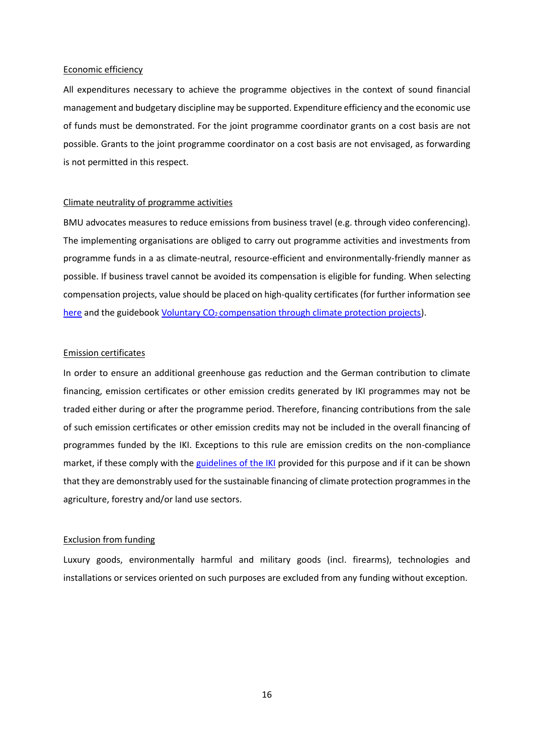#### Economic efficiency

All expenditures necessary to achieve the programme objectives in the context of sound financial management and budgetary discipline may be supported. Expenditure efficiency and the economic use of funds must be demonstrated. For the joint programme coordinator grants on a cost basis are not possible. Grants to the joint programme coordinator on a cost basis are not envisaged, as forwarding is not permitted in this respect.

## Climate neutrality of programme activities

BMU advocates measures to reduce emissions from business travel (e.g. through video conferencing). The implementing organisations are obliged to carry out programme activities and investments from programme funds in a as climate-neutral, resource-efficient and environmentally-friendly manner as possible. If business travel cannot be avoided its compensation is eligible for funding. When selecting compensation projects, value should be placed on high-quality certificates (for further information see [here](https://www.dehst.de/EN/carrying-out-climate-projects/carbon-offsetting/carbon-offsetting-node.html;jsessionid=DF72F218405385C53E2F4BA1BA3E1DB7.2_cid292) and the guidebook Voluntary  $CO<sub>2</sub>$  [compensation through climate protection projects\)](https://www.umweltbundesamt.de/publikationen/freiwillige-co2-kompensation-durch).

#### Emission certificates

In order to ensure an additional greenhouse gas reduction and the German contribution to climate financing, emission certificates or other emission credits generated by IKI programmes may not be traded either during or after the programme period. Therefore, financing contributions from the sale of such emission certificates or other emission credits may not be included in the overall financing of programmes funded by the IKI. Exceptions to this rule are emission credits on the non-compliance market, if these comply with the [guidelines of the IKI](https://www.international-climate-initiative.com/fileadmin/Dokumente/2016/16-1-01a_Recommendations_REDD__Projects.pdf) provided for this purpose and if it can be shown that they are demonstrably used for the sustainable financing of climate protection programmes in the agriculture, forestry and/or land use sectors.

#### Exclusion from funding

Luxury goods, environmentally harmful and military goods (incl. firearms), technologies and installations or services oriented on such purposes are excluded from any funding without exception.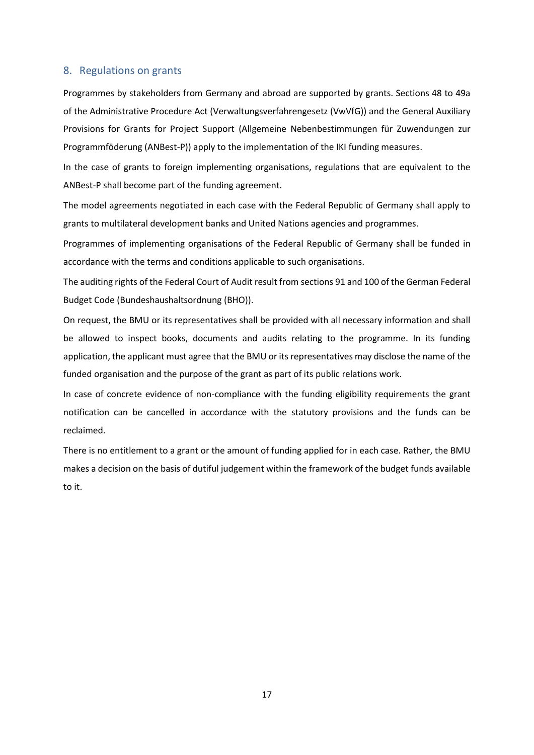## <span id="page-18-0"></span>8. Regulations on grants

Programmes by stakeholders from Germany and abroad are supported by grants. Sections 48 to 49a of the Administrative Procedure Act (Verwaltungsverfahrengesetz (VwVfG)) and the General Auxiliary Provisions for Grants for Project Support [\(Allgemeine Nebenbestimmungen für Zuwendungen zur](http://www.bmub.bund.de/fileadmin/Daten_BMU/Download_PDF/Foerderprogramme/projektfoederung_nebenbestimmung_anbest_bf.pdf)  [Programmföderung \(ANBest-P\)](http://www.bmub.bund.de/fileadmin/Daten_BMU/Download_PDF/Foerderprogramme/projektfoederung_nebenbestimmung_anbest_bf.pdf)) apply to the implementation of the IKI funding measures.

In the case of grants to foreign implementing organisations, regulations that are equivalent to the ANBest-P shall become part of the funding agreement.

The model agreements negotiated in each case with the Federal Republic of Germany shall apply to grants to multilateral development banks and United Nations agencies and programmes.

Programmes of implementing organisations of the Federal Republic of Germany shall be funded in accordance with the terms and conditions applicable to such organisations.

The auditing rights of the Federal Court of Audit result from sections 91 and 100 of the German Federal Budget Code (Bundeshaushaltsordnung (BHO)).

On request, the BMU or its representatives shall be provided with all necessary information and shall be allowed to inspect books, documents and audits relating to the programme. In its funding application, the applicant must agree that the BMU or its representatives may disclose the name of the funded organisation and the purpose of the grant as part of its public relations work.

In case of concrete evidence of non-compliance with the funding eligibility requirements the grant notification can be cancelled in accordance with the statutory provisions and the funds can be reclaimed.

There is no entitlement to a grant or the amount of funding applied for in each case. Rather, the BMU makes a decision on the basis of dutiful judgement within the framework of the budget funds available to it.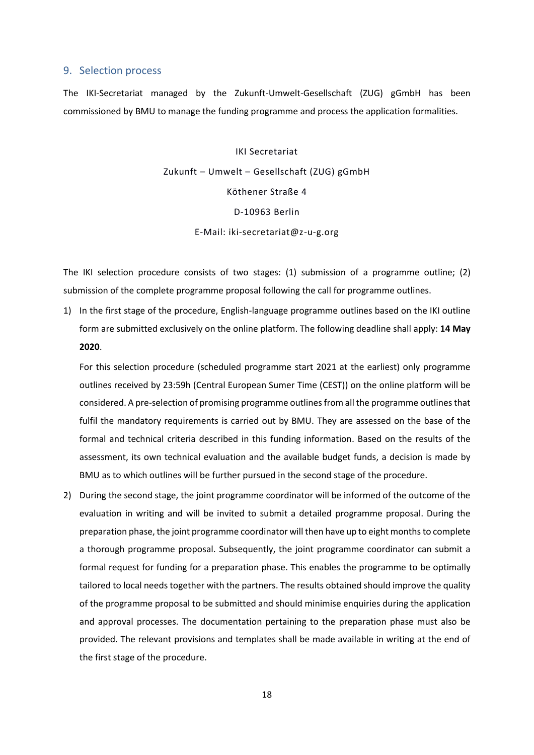## <span id="page-19-0"></span>9. Selection process

The IKI-Secretariat managed by the Zukunft-Umwelt-Gesellschaft (ZUG) gGmbH has been commissioned by BMU to manage the funding programme and process the application formalities.

> IKI Secretariat Zukunft – Umwelt – Gesellschaft (ZUG) gGmbH Köthener Straße 4 D-10963 Berlin E-Mail: iki-secretariat@z-u-g.org

The IKI selection procedure consists of two stages: (1) submission of a programme outline; (2) submission of the complete programme proposal following the call for programme outlines.

1) In the first stage of the procedure, English-language programme outlines based on the IKI outline form are submitted exclusively on the [online platform.](https://www.international-climate-initiative.com/en/nc/iki-call/login-applicant/) The following deadline shall apply: **14 May 2020**.

For this selection procedure (scheduled programme start 2021 at the earliest) only programme outlines received by 23:59h (Central European Sumer Time (CEST)) on the online platform will be considered. A pre-selection of promising programme outlines from all the programme outlines that fulfil the mandatory requirements is carried out by BMU. They are assessed on the base of the formal and technical criteria described in this funding information. Based on the results of the assessment, its own technical evaluation and the available budget funds, a decision is made by BMU as to which outlines will be further pursued in the second stage of the procedure.

2) During the second stage, the joint programme coordinator will be informed of the outcome of the evaluation in writing and will be invited to submit a detailed programme proposal. During the preparation phase, the joint programme coordinator will then have up to eight months to complete a thorough programme proposal. Subsequently, the joint programme coordinator can submit a formal request for funding for a preparation phase. This enables the programme to be optimally tailored to local needs together with the partners. The results obtained should improve the quality of the programme proposal to be submitted and should minimise enquiries during the application and approval processes. The documentation pertaining to the preparation phase must also be provided. The relevant provisions and templates shall be made available in writing at the end of the first stage of the procedure.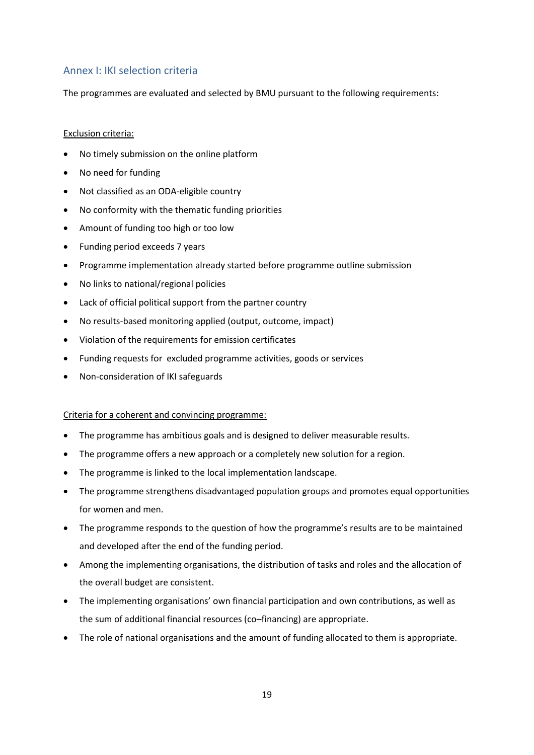## <span id="page-20-0"></span>Annex I: IKI selection criteria

The programmes are evaluated and selected by BMU pursuant to the following requirements:

### Exclusion criteria:

- No timely submission on the online platform
- No need for funding
- Not classified as an ODA-eligible country
- No conformity with the thematic funding priorities
- Amount of funding too high or too low
- Funding period exceeds 7 years
- Programme implementation already started before programme outline submission
- No links to national/regional policies
- Lack of official political support from the partner country
- No results-based monitoring applied (output, outcome, impact)
- Violation of the requirements for emission certificates
- Funding requests for excluded programme activities, goods or services
- Non-consideration of IKI safeguards

#### Criteria for a coherent and convincing programme:

- The programme has ambitious goals and is designed to deliver measurable results.
- The programme offers a new approach or a completely new solution for a region.
- The programme is linked to the local implementation landscape.
- The programme strengthens disadvantaged population groups and promotes equal opportunities for women and men.
- The programme responds to the question of how the programme's results are to be maintained and developed after the end of the funding period.
- Among the implementing organisations, the distribution of tasks and roles and the allocation of the overall budget are consistent.
- The implementing organisations' own financial participation and own contributions, as well as the sum of additional financial resources (co–financing) are appropriate.
- The role of national organisations and the amount of funding allocated to them is appropriate.